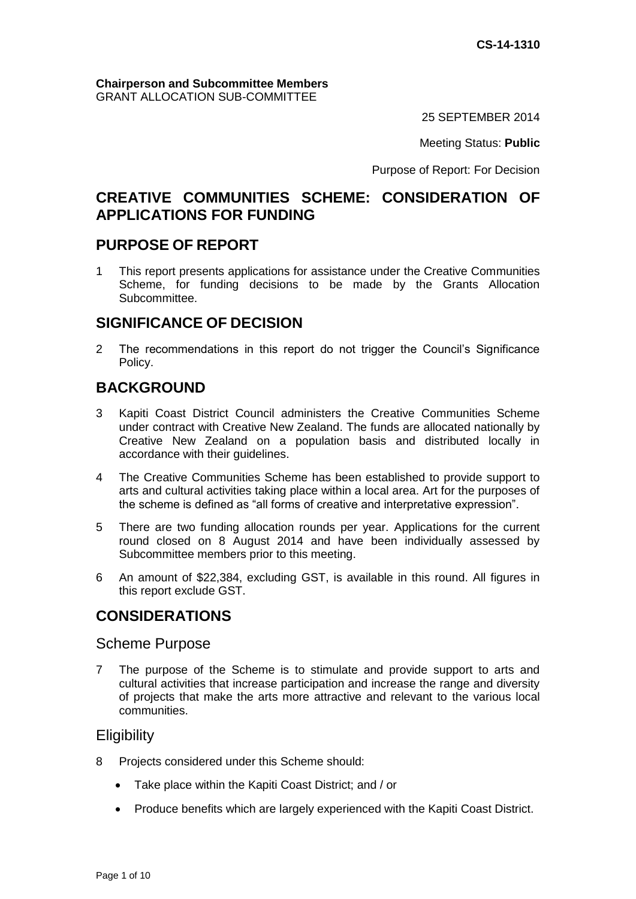#### **Chairperson and Subcommittee Members** GRANT ALLOCATION SUB-COMMITTEE

25 SEPTEMBER 2014

Meeting Status: **Public**

Purpose of Report: For Decision

## **CREATIVE COMMUNITIES SCHEME: CONSIDERATION OF APPLICATIONS FOR FUNDING**

## **PURPOSE OF REPORT**

1 This report presents applications for assistance under the Creative Communities Scheme, for funding decisions to be made by the Grants Allocation Subcommittee.

## **SIGNIFICANCE OF DECISION**

2 The recommendations in this report do not trigger the Council's Significance Policy.

## **BACKGROUND**

- 3 Kapiti Coast District Council administers the Creative Communities Scheme under contract with Creative New Zealand. The funds are allocated nationally by Creative New Zealand on a population basis and distributed locally in accordance with their guidelines.
- 4 The Creative Communities Scheme has been established to provide support to arts and cultural activities taking place within a local area. Art for the purposes of the scheme is defined as "all forms of creative and interpretative expression".
- 5 There are two funding allocation rounds per year. Applications for the current round closed on 8 August 2014 and have been individually assessed by Subcommittee members prior to this meeting.
- 6 An amount of \$22,384, excluding GST, is available in this round. All figures in this report exclude GST.

## **CONSIDERATIONS**

### Scheme Purpose

7 The purpose of the Scheme is to stimulate and provide support to arts and cultural activities that increase participation and increase the range and diversity of projects that make the arts more attractive and relevant to the various local communities.

### **Eligibility**

- 8 Projects considered under this Scheme should:
	- Take place within the Kapiti Coast District; and / or
	- Produce benefits which are largely experienced with the Kapiti Coast District.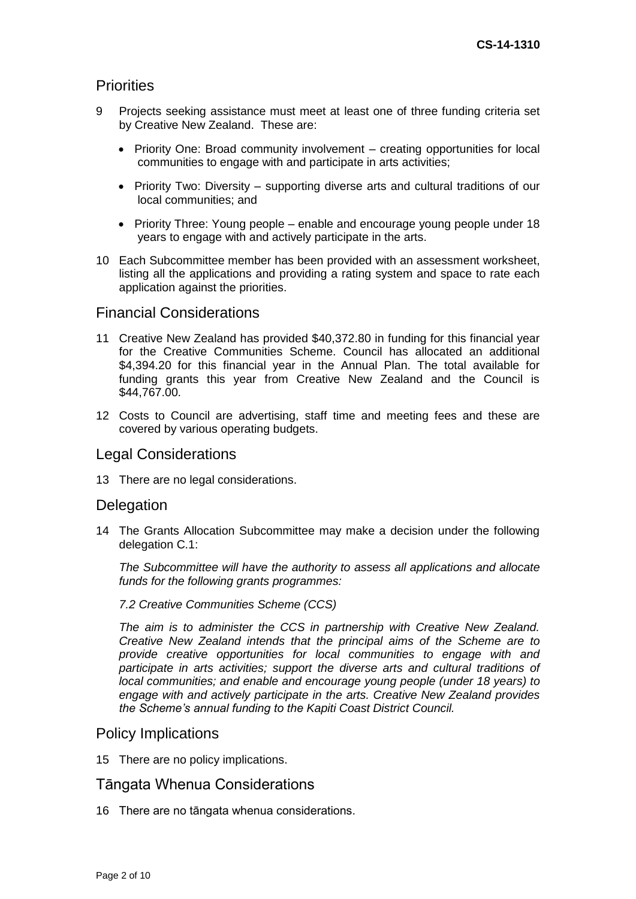### **Priorities**

- 9 Projects seeking assistance must meet at least one of three funding criteria set by Creative New Zealand. These are:
	- Priority One: Broad community involvement creating opportunities for local communities to engage with and participate in arts activities;
	- Priority Two: Diversity supporting diverse arts and cultural traditions of our local communities; and
	- Priority Three: Young people enable and encourage young people under 18 years to engage with and actively participate in the arts.
- 10 Each Subcommittee member has been provided with an assessment worksheet, listing all the applications and providing a rating system and space to rate each application against the priorities.

#### Financial Considerations

- 11 Creative New Zealand has provided \$40,372.80 in funding for this financial year for the Creative Communities Scheme. Council has allocated an additional \$4,394.20 for this financial year in the Annual Plan. The total available for funding grants this year from Creative New Zealand and the Council is \$44,767.00.
- 12 Costs to Council are advertising, staff time and meeting fees and these are covered by various operating budgets.

#### Legal Considerations

13 There are no legal considerations.

#### **Delegation**

14 The Grants Allocation Subcommittee may make a decision under the following delegation C.1:

*The Subcommittee will have the authority to assess all applications and allocate funds for the following grants programmes:*

#### *7.2 Creative Communities Scheme (CCS)*

*The aim is to administer the CCS in partnership with Creative New Zealand. Creative New Zealand intends that the principal aims of the Scheme are to provide creative opportunities for local communities to engage with and participate in arts activities; support the diverse arts and cultural traditions of local communities; and enable and encourage young people (under 18 years) to engage with and actively participate in the arts. Creative New Zealand provides the Scheme's annual funding to the Kapiti Coast District Council.*

#### Policy Implications

15 There are no policy implications.

### Tāngata Whenua Considerations

16 There are no tāngata whenua considerations.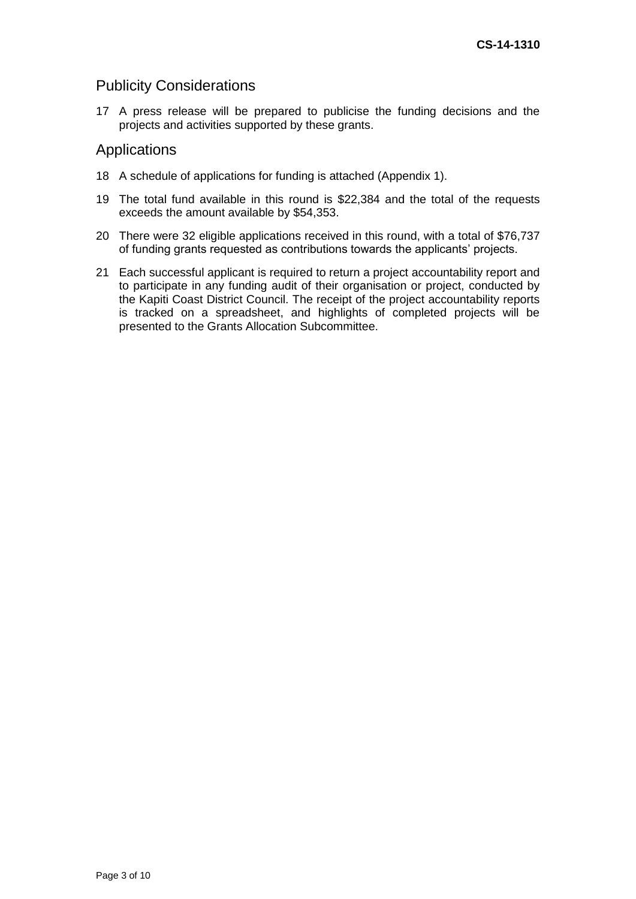### Publicity Considerations

17 A press release will be prepared to publicise the funding decisions and the projects and activities supported by these grants.

#### Applications

- 18 A schedule of applications for funding is attached (Appendix 1).
- 19 The total fund available in this round is \$22,384 and the total of the requests exceeds the amount available by \$54,353.
- 20 There were 32 eligible applications received in this round, with a total of \$76,737 of funding grants requested as contributions towards the applicants' projects.
- 21 Each successful applicant is required to return a project accountability report and to participate in any funding audit of their organisation or project, conducted by the Kapiti Coast District Council. The receipt of the project accountability reports is tracked on a spreadsheet, and highlights of completed projects will be presented to the Grants Allocation Subcommittee.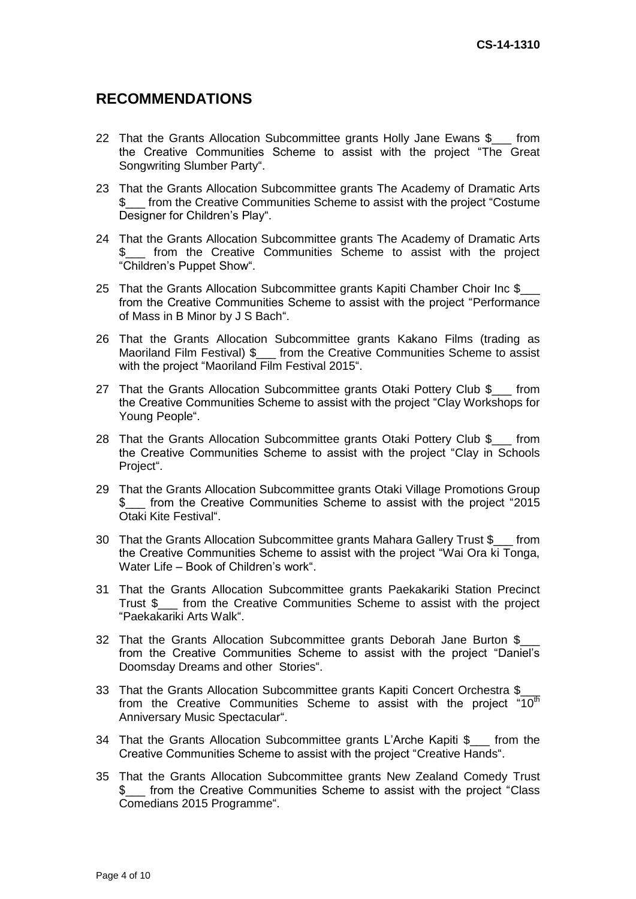## **RECOMMENDATIONS**

- 22 That the Grants Allocation Subcommittee grants Holly Jane Ewans \$\_\_\_ from the Creative Communities Scheme to assist with the project "The Great Songwriting Slumber Party".
- 23 That the Grants Allocation Subcommittee grants The Academy of Dramatic Arts \$\_\_\_ from the Creative Communities Scheme to assist with the project "Costume Designer for Children's Play".
- 24 That the Grants Allocation Subcommittee grants The Academy of Dramatic Arts \$\_\_\_ from the Creative Communities Scheme to assist with the project "Children's Puppet Show".
- 25 That the Grants Allocation Subcommittee grants Kapiti Chamber Choir Inc \$ from the Creative Communities Scheme to assist with the project "Performance of Mass in B Minor by J S Bach".
- 26 That the Grants Allocation Subcommittee grants Kakano Films (trading as Maoriland Film Festival) \$\_\_\_ from the Creative Communities Scheme to assist with the project "Maoriland Film Festival 2015".
- 27 That the Grants Allocation Subcommittee grants Otaki Pottery Club \$ from the Creative Communities Scheme to assist with the project "Clay Workshops for Young People".
- 28 That the Grants Allocation Subcommittee grants Otaki Pottery Club \$ from the Creative Communities Scheme to assist with the project "Clay in Schools Project".
- 29 That the Grants Allocation Subcommittee grants Otaki Village Promotions Group \$\_\_\_ from the Creative Communities Scheme to assist with the project "2015 Otaki Kite Festival".
- 30 That the Grants Allocation Subcommittee grants Mahara Gallery Trust \$ from the Creative Communities Scheme to assist with the project "Wai Ora ki Tonga, Water Life – Book of Children's work".
- 31 That the Grants Allocation Subcommittee grants Paekakariki Station Precinct Trust \$\_\_\_ from the Creative Communities Scheme to assist with the project "Paekakariki Arts Walk".
- 32 That the Grants Allocation Subcommittee grants Deborah Jane Burton \$ from the Creative Communities Scheme to assist with the project "Daniel's Doomsday Dreams and other Stories".
- 33 That the Grants Allocation Subcommittee grants Kapiti Concert Orchestra \$ from the Creative Communities Scheme to assist with the project "10<sup>th</sup> Anniversary Music Spectacular".
- 34 That the Grants Allocation Subcommittee grants L'Arche Kapiti \$\_\_\_ from the Creative Communities Scheme to assist with the project "Creative Hands".
- 35 That the Grants Allocation Subcommittee grants New Zealand Comedy Trust \$\_\_\_ from the Creative Communities Scheme to assist with the project "Class Comedians 2015 Programme".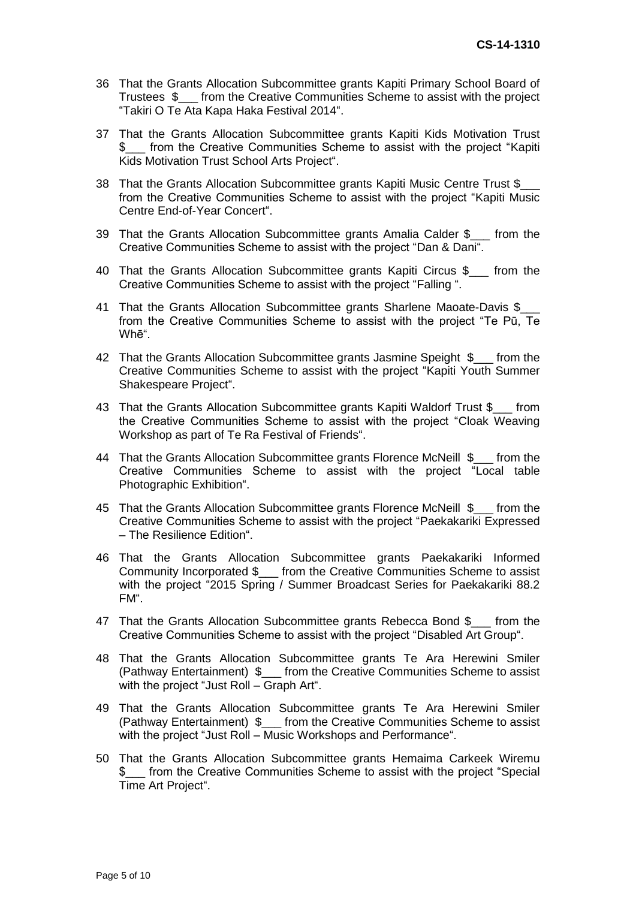- 36 That the Grants Allocation Subcommittee grants Kapiti Primary School Board of Trustees \$\_\_\_ from the Creative Communities Scheme to assist with the project "Takiri O Te Ata Kapa Haka Festival 2014".
- 37 That the Grants Allocation Subcommittee grants Kapiti Kids Motivation Trust from the Creative Communities Scheme to assist with the project "Kapiti Kids Motivation Trust School Arts Project".
- 38 That the Grants Allocation Subcommittee grants Kapiti Music Centre Trust \$ from the Creative Communities Scheme to assist with the project "Kapiti Music Centre End-of-Year Concert".
- 39 That the Grants Allocation Subcommittee grants Amalia Calder \$\_\_\_ from the Creative Communities Scheme to assist with the project "Dan & Dani".
- 40 That the Grants Allocation Subcommittee grants Kapiti Circus \$\_\_\_ from the Creative Communities Scheme to assist with the project "Falling ".
- 41 That the Grants Allocation Subcommittee grants Sharlene Maoate-Davis \$\_\_\_ from the Creative Communities Scheme to assist with the project "Te Pū, Te Whē".
- 42 That the Grants Allocation Subcommittee grants Jasmine Speight \$\_\_\_ from the Creative Communities Scheme to assist with the project "Kapiti Youth Summer Shakespeare Project".
- 43 That the Grants Allocation Subcommittee grants Kapiti Waldorf Trust \$ from the Creative Communities Scheme to assist with the project "Cloak Weaving Workshop as part of Te Ra Festival of Friends".
- 44 That the Grants Allocation Subcommittee grants Florence McNeill \$ from the Creative Communities Scheme to assist with the project "Local table Photographic Exhibition".
- 45 That the Grants Allocation Subcommittee grants Florence McNeill \$\_\_\_ from the Creative Communities Scheme to assist with the project "Paekakariki Expressed – The Resilience Edition".
- 46 That the Grants Allocation Subcommittee grants Paekakariki Informed Community Incorporated \$\_\_\_ from the Creative Communities Scheme to assist with the project "2015 Spring / Summer Broadcast Series for Paekakariki 88.2 FM".
- 47 That the Grants Allocation Subcommittee grants Rebecca Bond \$\_\_\_ from the Creative Communities Scheme to assist with the project "Disabled Art Group".
- 48 That the Grants Allocation Subcommittee grants Te Ara Herewini Smiler (Pathway Entertainment) \$\_\_\_ from the Creative Communities Scheme to assist with the project "Just Roll – Graph Art".
- 49 That the Grants Allocation Subcommittee grants Te Ara Herewini Smiler (Pathway Entertainment) \$\_\_\_ from the Creative Communities Scheme to assist with the project "Just Roll – Music Workshops and Performance".
- 50 That the Grants Allocation Subcommittee grants Hemaima Carkeek Wiremu \$\_\_\_ from the Creative Communities Scheme to assist with the project "Special Time Art Project".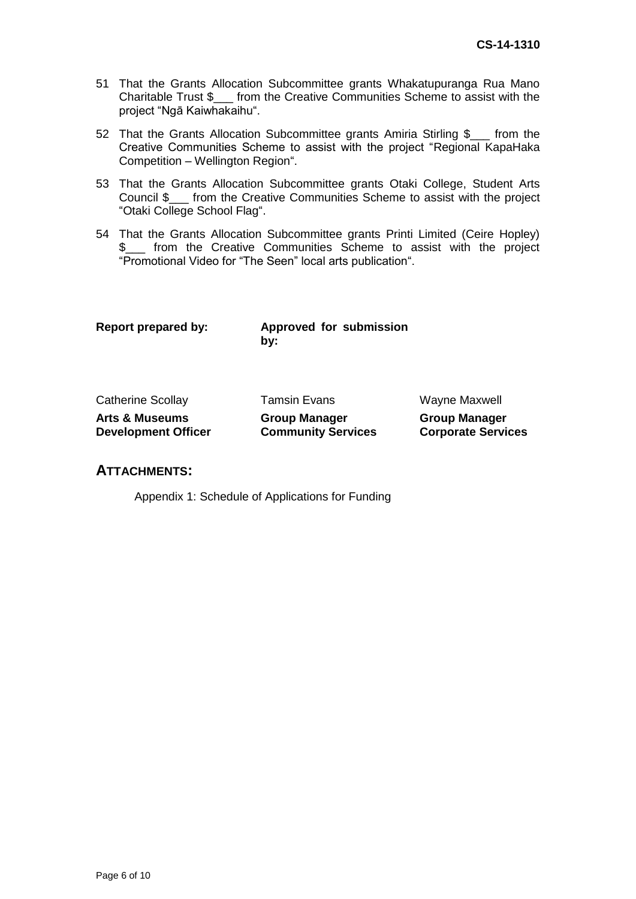- 51 That the Grants Allocation Subcommittee grants Whakatupuranga Rua Mano Charitable Trust \$\_\_\_ from the Creative Communities Scheme to assist with the project "Ngā Kaiwhakaihu".
- 52 That the Grants Allocation Subcommittee grants Amiria Stirling \$\_\_\_ from the Creative Communities Scheme to assist with the project "Regional KapaHaka Competition – Wellington Region".
- 53 That the Grants Allocation Subcommittee grants Otaki College, Student Arts Council \$\_\_\_ from the Creative Communities Scheme to assist with the project "Otaki College School Flag".
- 54 That the Grants Allocation Subcommittee grants Printi Limited (Ceire Hopley) \$\_\_\_ from the Creative Communities Scheme to assist with the project "Promotional Video for "The Seen" local arts publication".

**Report prepared by: Approved for submission by:**

| <b>Catherine Scollay</b>   |
|----------------------------|
| <b>Arts &amp; Museums</b>  |
| <b>Development Officer</b> |

**Group Manager**

**Community Services**

Tamsin Evans Wayne Maxwell

**Group Manager Corporate Services**

#### **ATTACHMENTS:**

Appendix 1: Schedule of Applications for Funding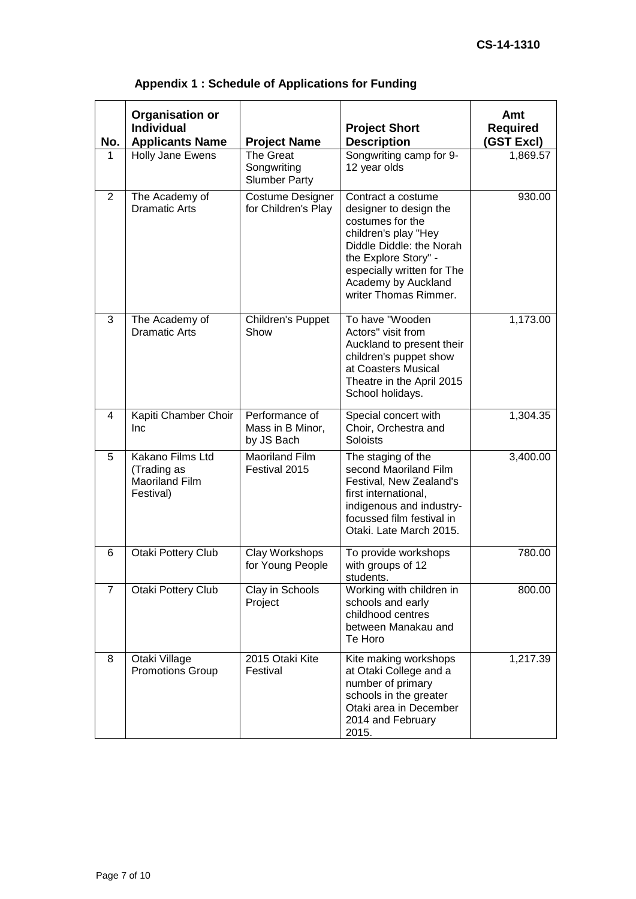| No.            | <b>Organisation or</b><br><b>Individual</b><br><b>Applicants Name</b> | <b>Project Name</b>                              | <b>Project Short</b><br><b>Description</b>                                                                                                                                                                                 | Amt<br><b>Required</b><br>(GST Excl) |
|----------------|-----------------------------------------------------------------------|--------------------------------------------------|----------------------------------------------------------------------------------------------------------------------------------------------------------------------------------------------------------------------------|--------------------------------------|
| 1              | Holly Jane Ewens                                                      | The Great<br>Songwriting<br><b>Slumber Party</b> | Songwriting camp for 9-<br>12 year olds                                                                                                                                                                                    | 1,869.57                             |
| 2              | The Academy of<br><b>Dramatic Arts</b>                                | Costume Designer<br>for Children's Play          | Contract a costume<br>designer to design the<br>costumes for the<br>children's play "Hey<br>Diddle Diddle: the Norah<br>the Explore Story" -<br>especially written for The<br>Academy by Auckland<br>writer Thomas Rimmer. | 930.00                               |
| 3              | The Academy of<br><b>Dramatic Arts</b>                                | Children's Puppet<br>Show                        | To have "Wooden<br>Actors" visit from<br>Auckland to present their<br>children's puppet show<br>at Coasters Musical<br>Theatre in the April 2015<br>School holidays.                                                       | 1,173.00                             |
| 4              | Kapiti Chamber Choir<br>Inc                                           | Performance of<br>Mass in B Minor,<br>by JS Bach | Special concert with<br>Choir, Orchestra and<br><b>Soloists</b>                                                                                                                                                            | 1,304.35                             |
| 5              | Kakano Films Ltd<br>(Trading as<br><b>Maoriland Film</b><br>Festival) | <b>Maoriland Film</b><br>Festival 2015           | The staging of the<br>second Maoriland Film<br>Festival, New Zealand's<br>first international,<br>indigenous and industry-<br>focussed film festival in<br>Otaki. Late March 2015.                                         | 3,400.00                             |
| 6              | Otaki Pottery Club                                                    | Clay Workshops<br>for Young People               | To provide workshops<br>with groups of 12<br>students.                                                                                                                                                                     | 780.00                               |
| $\overline{7}$ | Otaki Pottery Club                                                    | Clay in Schools<br>Project                       | Working with children in<br>schools and early<br>childhood centres<br>between Manakau and<br>Te Horo                                                                                                                       | 800.00                               |
| 8              | Otaki Village<br><b>Promotions Group</b>                              | 2015 Otaki Kite<br>Festival                      | Kite making workshops<br>at Otaki College and a<br>number of primary<br>schools in the greater<br>Otaki area in December<br>2014 and February<br>2015.                                                                     | 1,217.39                             |

# **Appendix 1 : Schedule of Applications for Funding**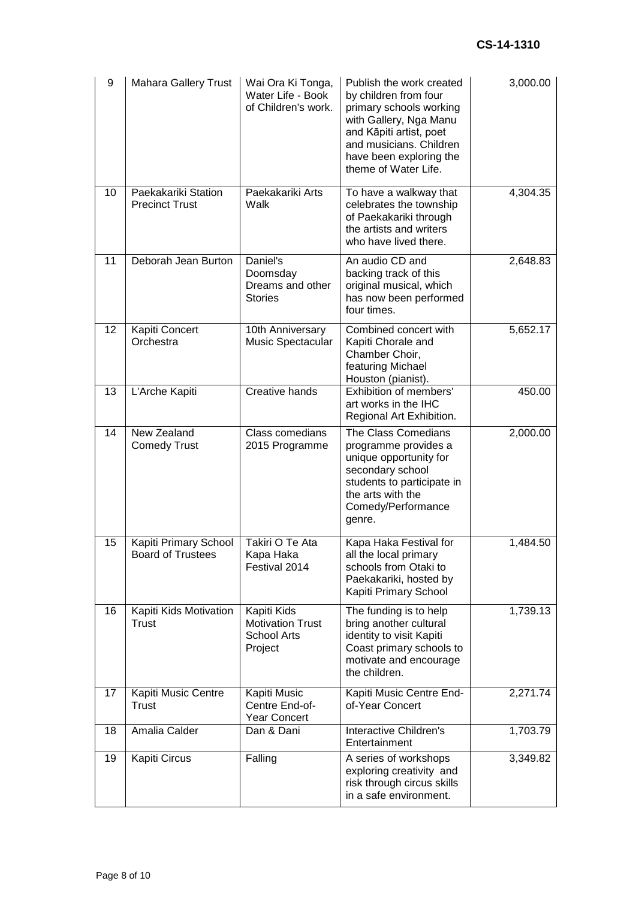| 9  | <b>Mahara Gallery Trust</b>                       | Wai Ora Ki Tonga,<br>Water Life - Book<br>of Children's work.           | Publish the work created<br>by children from four<br>primary schools working<br>with Gallery, Nga Manu<br>and Kāpiti artist, poet<br>and musicians. Children<br>have been exploring the<br>theme of Water Life. | 3,000.00 |
|----|---------------------------------------------------|-------------------------------------------------------------------------|-----------------------------------------------------------------------------------------------------------------------------------------------------------------------------------------------------------------|----------|
| 10 | Paekakariki Station<br><b>Precinct Trust</b>      | Paekakariki Arts<br>Walk                                                | To have a walkway that<br>celebrates the township<br>of Paekakariki through<br>the artists and writers<br>who have lived there.                                                                                 | 4,304.35 |
| 11 | Deborah Jean Burton                               | Daniel's<br>Doomsday<br>Dreams and other<br><b>Stories</b>              | An audio CD and<br>backing track of this<br>original musical, which<br>has now been performed<br>four times.                                                                                                    | 2,648.83 |
| 12 | Kapiti Concert<br>Orchestra                       | 10th Anniversary<br>Music Spectacular                                   | Combined concert with<br>Kapiti Chorale and<br>Chamber Choir,<br>featuring Michael<br>Houston (pianist).                                                                                                        | 5,652.17 |
| 13 | L'Arche Kapiti                                    | Creative hands                                                          | Exhibition of members'<br>art works in the IHC<br>Regional Art Exhibition.                                                                                                                                      | 450.00   |
| 14 | New Zealand<br><b>Comedy Trust</b>                | Class comedians<br>2015 Programme                                       | The Class Comedians<br>programme provides a<br>unique opportunity for<br>secondary school<br>students to participate in<br>the arts with the<br>Comedy/Performance<br>genre.                                    | 2,000.00 |
| 15 | Kapiti Primary School<br><b>Board of Trustees</b> | Takiri O Te Ata<br>Kapa Haka<br>Festival 2014                           | Kapa Haka Festival for<br>all the local primary<br>schools from Otaki to<br>Paekakariki, hosted by<br>Kapiti Primary School                                                                                     | 1,484.50 |
| 16 | Kapiti Kids Motivation<br>Trust                   | Kapiti Kids<br><b>Motivation Trust</b><br><b>School Arts</b><br>Project | The funding is to help<br>bring another cultural<br>identity to visit Kapiti<br>Coast primary schools to<br>motivate and encourage<br>the children.                                                             | 1,739.13 |
| 17 | Kapiti Music Centre<br>Trust                      | Kapiti Music<br>Centre End-of-<br>Year Concert                          | Kapiti Music Centre End-<br>of-Year Concert                                                                                                                                                                     | 2,271.74 |
| 18 | Amalia Calder                                     | Dan & Dani                                                              | Interactive Children's<br>Entertainment                                                                                                                                                                         | 1,703.79 |
| 19 | Kapiti Circus                                     | Falling                                                                 | A series of workshops<br>exploring creativity and<br>risk through circus skills<br>in a safe environment.                                                                                                       | 3,349.82 |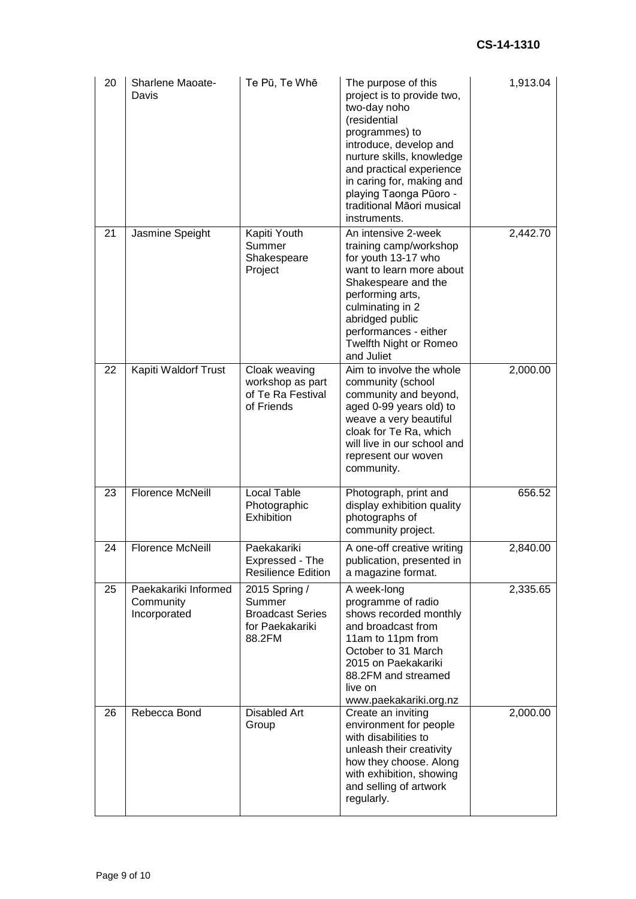| 20 | Sharlene Maoate-<br>Davis                         | Te Pū, Te Whē                                                                   | The purpose of this<br>project is to provide two,<br>two-day noho<br>(residential<br>programmes) to<br>introduce, develop and<br>nurture skills, knowledge<br>and practical experience<br>in caring for, making and<br>playing Taonga Pūoro -<br>traditional Māori musical<br>instruments. | 1,913.04 |
|----|---------------------------------------------------|---------------------------------------------------------------------------------|--------------------------------------------------------------------------------------------------------------------------------------------------------------------------------------------------------------------------------------------------------------------------------------------|----------|
| 21 | Jasmine Speight                                   | Kapiti Youth<br>Summer<br>Shakespeare<br>Project                                | An intensive 2-week<br>training camp/workshop<br>for youth 13-17 who<br>want to learn more about<br>Shakespeare and the<br>performing arts,<br>culminating in 2<br>abridged public<br>performances - either<br>Twelfth Night or Romeo<br>and Juliet                                        | 2,442.70 |
| 22 | Kapiti Waldorf Trust                              | Cloak weaving<br>workshop as part<br>of Te Ra Festival<br>of Friends            | Aim to involve the whole<br>community (school<br>community and beyond,<br>aged 0-99 years old) to<br>weave a very beautiful<br>cloak for Te Ra, which<br>will live in our school and<br>represent our woven<br>community.                                                                  | 2,000.00 |
| 23 | <b>Florence McNeill</b>                           | <b>Local Table</b><br>Photographic<br>Exhibition                                | Photograph, print and<br>display exhibition quality<br>photographs of<br>community project.                                                                                                                                                                                                | 656.52   |
| 24 | <b>Florence McNeill</b>                           | Paekakariki<br>Expressed - The<br><b>Resilience Edition</b>                     | A one-off creative writing<br>publication, presented in<br>a magazine format.                                                                                                                                                                                                              | 2,840.00 |
| 25 | Paekakariki Informed<br>Community<br>Incorporated | 2015 Spring /<br>Summer<br><b>Broadcast Series</b><br>for Paekakariki<br>88.2FM | A week-long<br>programme of radio<br>shows recorded monthly<br>and broadcast from<br>11am to 11pm from<br>October to 31 March<br>2015 on Paekakariki<br>88.2FM and streamed<br>live on<br>www.paekakariki.org.nz                                                                           | 2,335.65 |
| 26 | Rebecca Bond                                      | <b>Disabled Art</b><br>Group                                                    | Create an inviting<br>environment for people<br>with disabilities to<br>unleash their creativity<br>how they choose. Along<br>with exhibition, showing<br>and selling of artwork<br>regularly.                                                                                             | 2,000.00 |